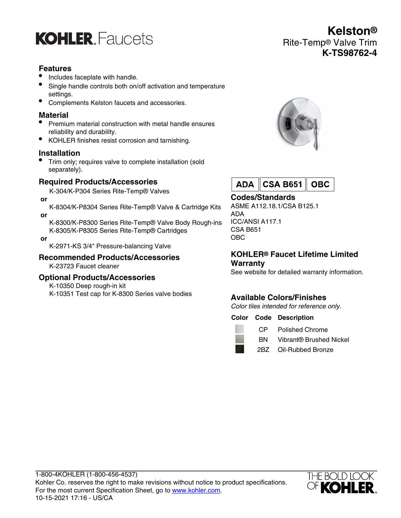

## **Features**

- Includes faceplate with handle.
- Single handle controls both on/off activation and temperature settings.
- Complements Kelston faucets and accessories.

## **Material**

- Premium material construction with metal handle ensures reliability and durability.
- KOHLER finishes resist corrosion and tarnishing.

#### **Installation**

• Trim only; requires valve to complete installation (sold separately).

## **Required Products/Accessories**

K-304/K-P304 Series Rite-Temp® Valves

 **or**

 **or**

- K-8304/K-P8304 Series Rite-Temp® Valve & Cartridge Kits
- K-8300/K-P8300 Series Rite-Temp® Valve Body Rough-ins K-8305/K-P8305 Series Rite-Temp® Cartridges
- **or**

K-2971-KS 3/4" Pressure-balancing Valve

**Recommended Products/Accessories** K-23723 Faucet cleaner

#### **Optional Products/Accessories**

K-10350 Deep rough-in kit

K-10351 Test cap for K-8300 Series valve bodies





# **Codes/Standards**

ASME A112.18.1/CSA B125.1 ADA ICC/ANSI A117.1 CSA B651 OBC

### **KOHLER® Faucet Lifetime Limited Warranty**

See website for detailed warranty information.

# **Available Colors/Finishes**

Color tiles intended for reference only.

#### **Color Code Description**

- 
- CP Polished Chrome
- BN Vibrant® Brushed Nickel
- 2BZ Oil-Rubbed Bronze



**Kelston®** Rite-Temp® Valve Trim **K-TS98762-4**